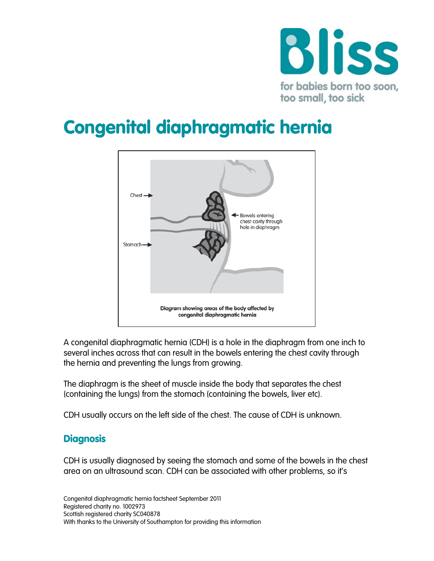

# Congenital diaphragmatic hernia



A congenital diaphragmatic hernia (CDH) is a hole in the diaphragm from one inch to several inches across that can result in the bowels entering the chest cavity through the hernia and preventing the lungs from growing.

The diaphragm is the sheet of muscle inside the body that separates the chest (containing the lungs) from the stomach (containing the bowels, liver etc).

CDH usually occurs on the left side of the chest. The cause of CDH is unknown.

#### **Diagnosis**

CDH is usually diagnosed by seeing the stomach and some of the bowels in the chest area on an ultrasound scan. CDH can be associated with other problems, so it's

Congenital diaphragmatic hernia factsheet September 2011 Registered charity no. 1002973 Scottish registered charity SC040878 With thanks to the University of Southampton for providing this information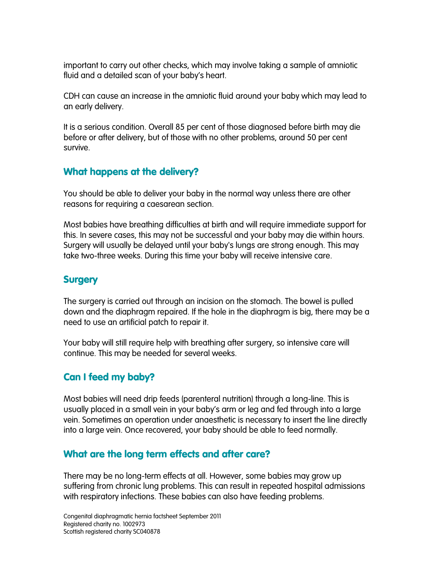important to carry out other checks, which may involve taking a sample of amniotic fluid and a detailed scan of your baby's heart.

CDH can cause an increase in the amniotic fluid around your baby which may lead to an early delivery.

It is a serious condition. Overall 85 per cent of those diagnosed before birth may die before or after delivery, but of those with no other problems, around 50 per cent survive.

# What happens at the delivery?

You should be able to deliver your baby in the normal way unless there are other reasons for requiring a caesarean section.

Most babies have breathing difficulties at birth and will require immediate support for this. In severe cases, this may not be successful and your baby may die within hours. Surgery will usually be delayed until your baby's lungs are strong enough. This may take two-three weeks. During this time your baby will receive intensive care.

# **Surgery**

The surgery is carried out through an incision on the stomach. The bowel is pulled down and the diaphragm repaired. If the hole in the diaphragm is big, there may be a need to use an artificial patch to repair it.

Your baby will still require help with breathing after surgery, so intensive care will continue. This may be needed for several weeks.

# Can I feed my baby?

Most babies will need drip feeds (parenteral nutrition) through a long-line. This is usually placed in a small vein in your baby's arm or leg and fed through into a large vein. Sometimes an operation under anaesthetic is necessary to insert the line directly into a large vein. Once recovered, your baby should be able to feed normally.

# What are the long term effects and after care?

There may be no long-term effects at all. However, some babies may grow up suffering from chronic lung problems. This can result in repeated hospital admissions with respiratory infections. These babies can also have feeding problems.